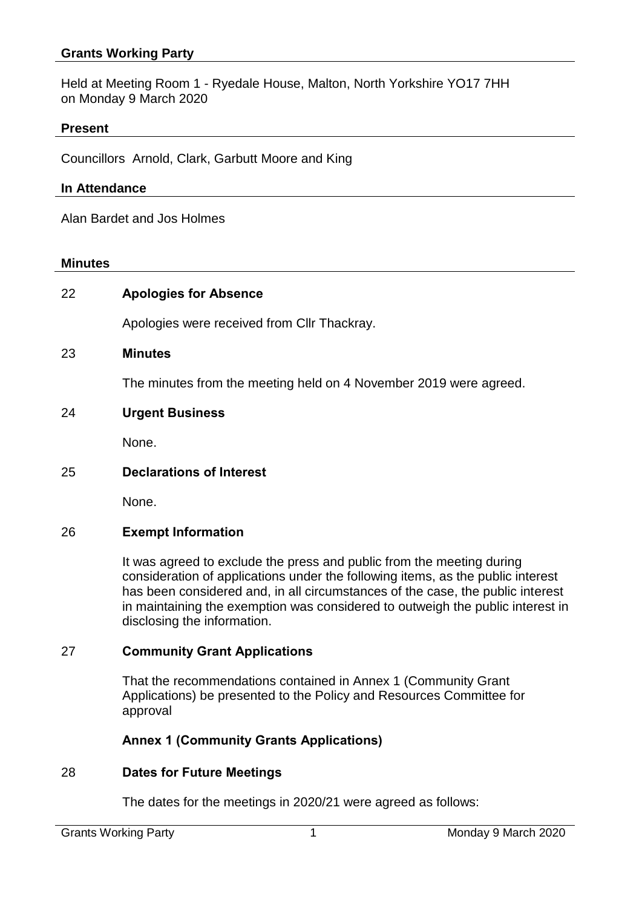Held at Meeting Room 1 - Ryedale House, Malton, North Yorkshire YO17 7HH on Monday 9 March 2020

### **Present**

Councillors Arnold, Clark, Garbutt Moore and King

#### **In Attendance**

Alan Bardet and Jos Holmes

#### **Minutes**

| 22 | <b>Apologies for Absence</b>                                      |
|----|-------------------------------------------------------------------|
|    | Apologies were received from CIIr Thackray.                       |
| 23 | <b>Minutes</b>                                                    |
|    | The minutes from the meeting held on 4 November 2019 were agreed. |
| 24 | <b>Urgent Business</b>                                            |
|    | None.                                                             |
| 25 | <b>Declarations of Interest</b>                                   |
|    | None.                                                             |
| 26 | <b>Exempt Information</b>                                         |

It was agreed to exclude the press and public from the meeting during consideration of applications under the following items, as the public interest has been considered and, in all circumstances of the case, the public interest in maintaining the exemption was considered to outweigh the public interest in disclosing the information.

#### 27 **Community Grant Applications**

That the recommendations contained in Annex 1 (Community Grant Applications) be presented to the Policy and Resources Committee for approval

## **Annex 1 (Community Grants Applications)**

## 28 **Dates for Future Meetings**

The dates for the meetings in 2020/21 were agreed as follows: